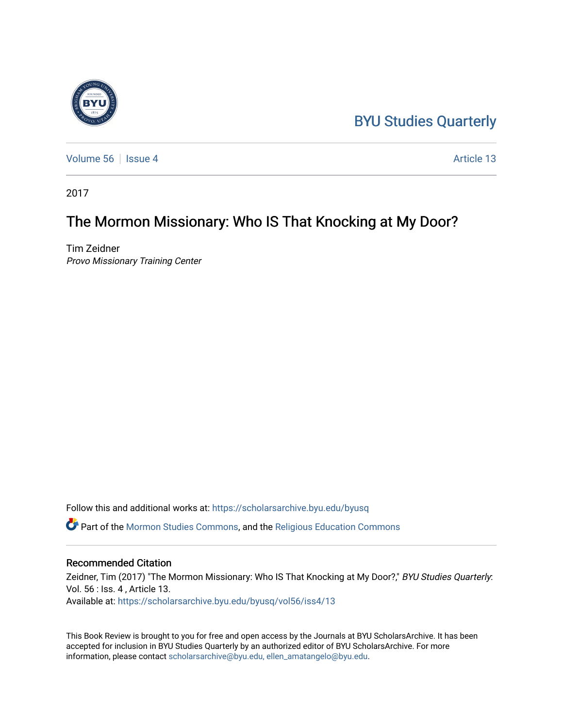## [BYU Studies Quarterly](https://scholarsarchive.byu.edu/byusq)

[Volume 56](https://scholarsarchive.byu.edu/byusq/vol56) Service 4 Article 13

2017

## The Mormon Missionary: Who IS That Knocking at My Door?

Tim Zeidner Provo Missionary Training Center

Follow this and additional works at: [https://scholarsarchive.byu.edu/byusq](https://scholarsarchive.byu.edu/byusq?utm_source=scholarsarchive.byu.edu%2Fbyusq%2Fvol56%2Fiss4%2F13&utm_medium=PDF&utm_campaign=PDFCoverPages) 

Part of the [Mormon Studies Commons](http://network.bepress.com/hgg/discipline/1360?utm_source=scholarsarchive.byu.edu%2Fbyusq%2Fvol56%2Fiss4%2F13&utm_medium=PDF&utm_campaign=PDFCoverPages), and the [Religious Education Commons](http://network.bepress.com/hgg/discipline/1414?utm_source=scholarsarchive.byu.edu%2Fbyusq%2Fvol56%2Fiss4%2F13&utm_medium=PDF&utm_campaign=PDFCoverPages) 

## Recommended Citation

Zeidner, Tim (2017) "The Mormon Missionary: Who IS That Knocking at My Door?," BYU Studies Quarterly: Vol. 56 : Iss. 4 , Article 13. Available at: [https://scholarsarchive.byu.edu/byusq/vol56/iss4/13](https://scholarsarchive.byu.edu/byusq/vol56/iss4/13?utm_source=scholarsarchive.byu.edu%2Fbyusq%2Fvol56%2Fiss4%2F13&utm_medium=PDF&utm_campaign=PDFCoverPages) 

This Book Review is brought to you for free and open access by the Journals at BYU ScholarsArchive. It has been accepted for inclusion in BYU Studies Quarterly by an authorized editor of BYU ScholarsArchive. For more information, please contact [scholarsarchive@byu.edu, ellen\\_amatangelo@byu.edu.](mailto:scholarsarchive@byu.edu,%20ellen_amatangelo@byu.edu)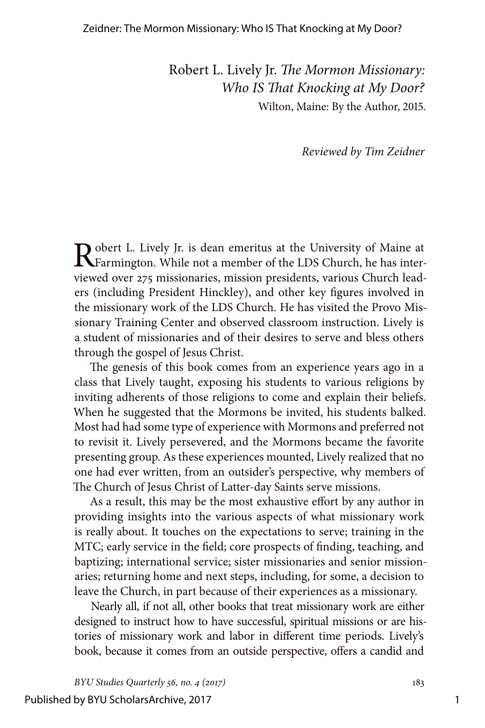Robert L. Lively Jr. *The Mormon Missionary: Who IS That Knocking at My Door?* Wilton, Maine: By the Author, 2015.

*Reviewed by Tim Zeidner*

Robert L. Lively Jr. is dean emeritus at the University of Maine at Farmington. While not a member of the LDS Church, he has interviewed over 275 missionaries, mission presidents, various Church leaders (including President Hinckley), and other key figures involved in the missionary work of the LDS Church. He has visited the Provo Missionary Training Center and observed classroom instruction. Lively is a student of missionaries and of their desires to serve and bless others through the gospel of Jesus Christ.

The genesis of this book comes from an experience years ago in a class that Lively taught, exposing his students to various religions by inviting adherents of those religions to come and explain their beliefs. When he suggested that the Mormons be invited, his students balked. Most had had some type of experience with Mormons and preferred not to revisit it. Lively persevered, and the Mormons became the favorite presenting group. As these experiences mounted, Lively realized that no one had ever written, from an outsider's perspective, why members of The Church of Jesus Christ of Latter-day Saints serve missions.

As a result, this may be the most exhaustive effort by any author in providing insights into the various aspects of what missionary work is really about. It touches on the expectations to serve; training in the MTC; early service in the field; core prospects of finding, teaching, and baptizing; international service; sister missionaries and senior missionaries; returning home and next steps, including, for some, a decision to leave the Church, in part because of their experiences as a missionary.

Nearly all, if not all, other books that treat missionary work are either designed to instruct how to have successful, spiritual missions or are histories of missionary work and labor in different time periods. Lively's book, because it comes from an outside perspective, offers a candid and

*BYU Studies Quarterly 56, no. 4 (2017)* 183

Published by BYU ScholarsArchive, 2017